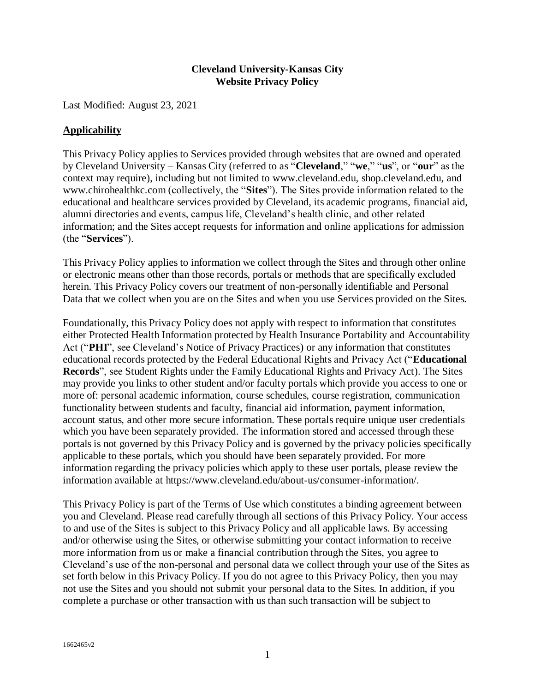## **Cleveland University-Kansas City Website Privacy Policy**

Last Modified: August 23, 2021

### **Applicability**

This Privacy Policy applies to Services provided through websites that are owned and operated by Cleveland University – Kansas City (referred to as "**Cleveland**," "**we**," "**us**", or "**our**" as the context may require), including but not limited to [www.cleveland.edu,](http://www.cleveland.edu/) [shop.cleveland.edu,](http://shop.cleveland.edu/) and [www.chirohealthkc.com](http://www.chirohealthkc.com/) (collectively, the "**Sites**"). The Sites provide information related to the educational and healthcare services provided by Cleveland, its academic programs, financial aid, alumni directories and events, campus life, Cleveland's health clinic, and other related information; and the Sites accept requests for information and online applications for admission (the "**Services**").

This Privacy Policy applies to information we collect through the Sites and through other online or electronic means other than those records, portals or methods that are specifically excluded herein. This Privacy Policy covers our treatment of non-personally identifiable and Personal Data that we collect when you are on the Sites and when you use Services provided on the Sites.

Foundationally, this Privacy Policy does not apply with respect to information that constitutes either Protected Health Information protected by Health Insurance Portability and Accountability Act ("**PHI**", see Cleveland's [Notice of Privacy Practices\)](https://cleveland.edu/wp-content/uploads/pdfs/about_us/CU-KC_Notice_of_Privacy_Practices_160328S.PDF) or any information that constitutes educational records protected by the Federal Educational Rights and Privacy Act ("**Educational Records**", see [Student Rights under the Family Educational Rights and Privacy Act\)](https://cleveland.edu/wp-content/uploads/pdfs/about_us/FERPA.pdf). The Sites may provide you links to other student and/or faculty portals which provide you access to one or more of: personal academic information, course schedules, course registration, communication functionality between students and faculty, financial aid information, payment information, account status, and other more secure information. These portals require unique user credentials which you have been separately provided. The information stored and accessed through these portals is not governed by this Privacy Policy and is governed by the privacy policies specifically applicable to these portals, which you should have been separately provided. For more information regarding the privacy policies which apply to these user portals, please review the information available at [https://www.cleveland.edu/about-us/consumer-information/.](https://www.cleveland.edu/about-us/consumer-information/)

This Privacy Policy is part of the Terms of Use which constitutes a binding agreement between you and Cleveland. Please read carefully through all sections of this Privacy Policy. Your access to and use of the Sites is subject to this Privacy Policy and all applicable laws. By accessing and/or otherwise using the Sites, or otherwise submitting your contact information to receive more information from us or make a financial contribution through the Sites, you agree to Cleveland's use of the non-personal and personal data we collect through your use of the Sites as set forth below in this Privacy Policy. If you do not agree to this Privacy Policy, then you may not use the Sites and you should not submit your personal data to the Sites. In addition, if you complete a purchase or other transaction with us than such transaction will be subject to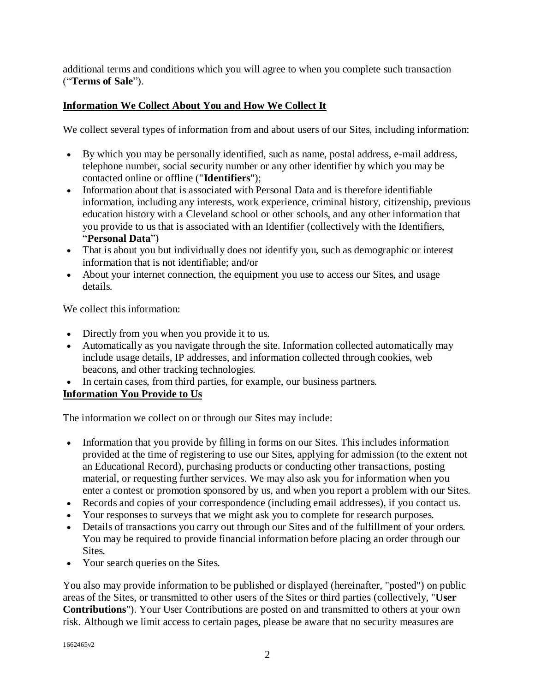additional terms and conditions which you will agree to when you complete such transaction ("**Terms of Sale**").

# **Information We Collect About You and How We Collect It**

We collect several types of information from and about users of our Sites, including information:

- By which you may be personally identified, such as name, postal address, e-mail address, telephone number, social security number or any other identifier by which you may be contacted online or offline ("**Identifiers**");
- Information about that is associated with Personal Data and is therefore identifiable information, including any interests, work experience, criminal history, citizenship, previous education history with a Cleveland school or other schools, and any other information that you provide to us that is associated with an Identifier (collectively with the Identifiers, "**Personal Data**")
- That is about you but individually does not identify you, such as demographic or interest information that is not identifiable; and/or
- About your internet connection, the equipment you use to access our Sites, and usage details.

We collect this information:

- Directly from you when you provide it to us.
- Automatically as you navigate through the site. Information collected automatically may include usage details, IP addresses, and information collected through cookies, web beacons, and other tracking technologies.
- In certain cases, from third parties, for example, our business partners.

# **Information You Provide to Us**

The information we collect on or through our Sites may include:

- Information that you provide by filling in forms on our Sites. This includes information provided at the time of registering to use our Sites, applying for admission (to the extent not an Educational Record), purchasing products or conducting other transactions, posting material, or requesting further services. We may also ask you for information when you enter a contest or promotion sponsored by us, and when you report a problem with our Sites.
- Records and copies of your correspondence (including email addresses), if you contact us.
- Your responses to surveys that we might ask you to complete for research purposes.
- Details of transactions you carry out through our Sites and of the fulfillment of your orders. You may be required to provide financial information before placing an order through our Sites.
- Your search queries on the Sites.

You also may provide information to be published or displayed (hereinafter, "posted") on public areas of the Sites, or transmitted to other users of the Sites or third parties (collectively, "**User Contributions**"). Your User Contributions are posted on and transmitted to others at your own risk. Although we limit access to certain pages, please be aware that no security measures are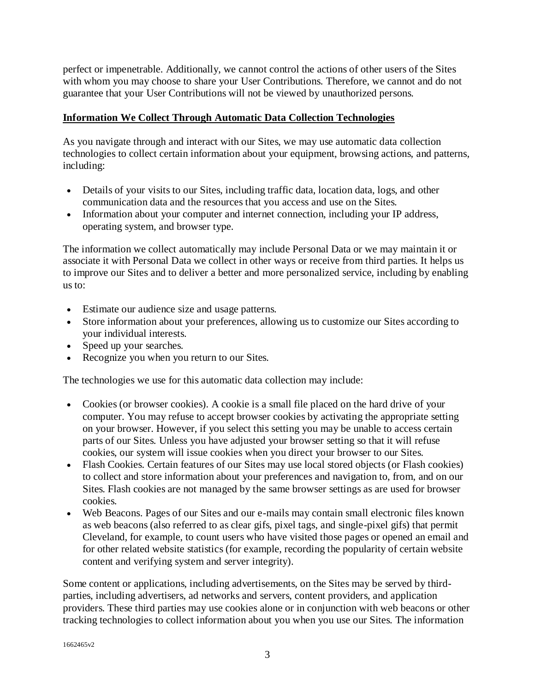perfect or impenetrable. Additionally, we cannot control the actions of other users of the Sites with whom you may choose to share your User Contributions. Therefore, we cannot and do not guarantee that your User Contributions will not be viewed by unauthorized persons.

## **Information We Collect Through Automatic Data Collection Technologies**

As you navigate through and interact with our Sites, we may use automatic data collection technologies to collect certain information about your equipment, browsing actions, and patterns, including:

- Details of your visits to our Sites, including traffic data, location data, logs, and other communication data and the resources that you access and use on the Sites.
- Information about your computer and internet connection, including your IP address, operating system, and browser type.

The information we collect automatically may include Personal Data or we may maintain it or associate it with Personal Data we collect in other ways or receive from third parties. It helps us to improve our Sites and to deliver a better and more personalized service, including by enabling us to:

- Estimate our audience size and usage patterns.
- Store information about your preferences, allowing us to customize our Sites according to your individual interests.
- Speed up your searches.
- Recognize you when you return to our Sites.

The technologies we use for this automatic data collection may include:

- Cookies (or browser cookies). A cookie is a small file placed on the hard drive of your computer. You may refuse to accept browser cookies by activating the appropriate setting on your browser. However, if you select this setting you may be unable to access certain parts of our Sites. Unless you have adjusted your browser setting so that it will refuse cookies, our system will issue cookies when you direct your browser to our Sites.
- Flash Cookies. Certain features of our Sites may use local stored objects (or Flash cookies) to collect and store information about your preferences and navigation to, from, and on our Sites. Flash cookies are not managed by the same browser settings as are used for browser cookies.
- Web Beacons. Pages of our Sites and our e-mails may contain small electronic files known as web beacons (also referred to as clear gifs, pixel tags, and single-pixel gifs) that permit Cleveland, for example, to count users who have visited those pages or opened an email and for other related website statistics (for example, recording the popularity of certain website content and verifying system and server integrity).

Some content or applications, including advertisements, on the Sites may be served by thirdparties, including advertisers, ad networks and servers, content providers, and application providers. These third parties may use cookies alone or in conjunction with web beacons or other tracking technologies to collect information about you when you use our Sites. The information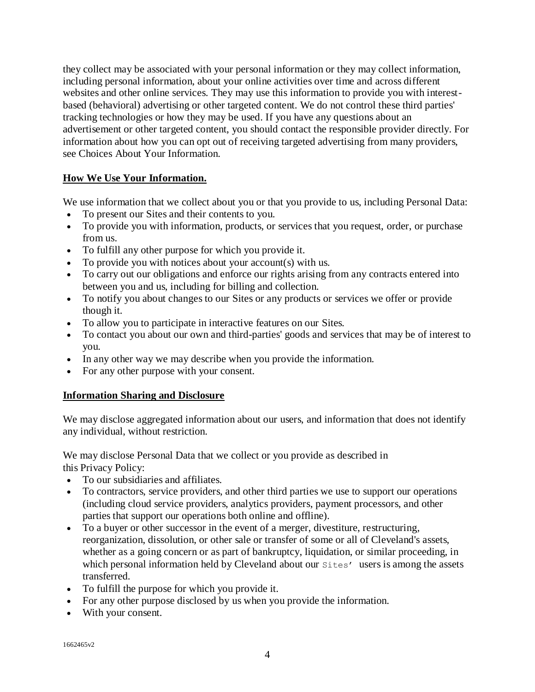they collect may be associated with your personal information or they may collect information, including personal information, about your online activities over time and across different websites and other online services. They may use this information to provide you with interestbased (behavioral) advertising or other targeted content. We do not control these third parties' tracking technologies or how they may be used. If you have any questions about an advertisement or other targeted content, you should contact the responsible provider directly. For information about how you can opt out of receiving targeted advertising from many providers, see Choices About Your Information.

## **How We Use Your Information.**

We use information that we collect about you or that you provide to us, including Personal Data:

- To present our Sites and their contents to you.
- To provide you with information, products, or services that you request, order, or purchase from us.
- To fulfill any other purpose for which you provide it.
- To provide you with notices about your account(s) with us.
- To carry out our obligations and enforce our rights arising from any contracts entered into between you and us, including for billing and collection.
- To notify you about changes to our Sites or any products or services we offer or provide though it.
- To allow you to participate in interactive features on our Sites.
- To contact you about our own and third-parties' goods and services that may be of interest to you.
- In any other way we may describe when you provide the information.
- For any other purpose with your consent.

### **Information Sharing and Disclosure**

We may disclose aggregated information about our users, and information that does not identify any individual, without restriction.

We may disclose Personal Data that we collect or you provide as described in this Privacy Policy:

- To our subsidiaries and affiliates.
- To contractors, service providers, and other third parties we use to support our operations (including cloud service providers, analytics providers, payment processors, and other parties that support our operations both online and offline).
- To a buyer or other successor in the event of a merger, divestiture, restructuring, reorganization, dissolution, or other sale or transfer of some or all of Cleveland's assets, whether as a going concern or as part of bankruptcy, liquidation, or similar proceeding, in which personal information held by Cleveland about our sites' users is among the assets transferred.
- To fulfill the purpose for which you provide it.
- For any other purpose disclosed by us when you provide the information.
- With your consent.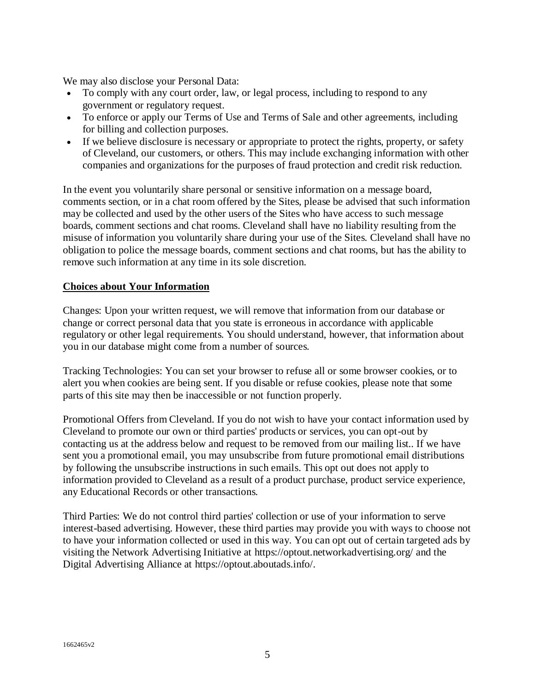We may also disclose your Personal Data:

- To comply with any court order, law, or legal process, including to respond to any government or regulatory request.
- To enforce or apply our Terms of Use and Terms of Sale and other agreements, including for billing and collection purposes.
- If we believe disclosure is necessary or appropriate to protect the rights, property, or safety of Cleveland, our customers, or others. This may include exchanging information with other companies and organizations for the purposes of fraud protection and credit risk reduction.

In the event you voluntarily share personal or sensitive information on a message board, comments section, or in a chat room offered by the Sites, please be advised that such information may be collected and used by the other users of the Sites who have access to such message boards, comment sections and chat rooms. Cleveland shall have no liability resulting from the misuse of information you voluntarily share during your use of the Sites. Cleveland shall have no obligation to police the message boards, comment sections and chat rooms, but has the ability to remove such information at any time in its sole discretion.

## **Choices about Your Information**

Changes: Upon your written request, we will remove that information from our database or change or correct personal data that you state is erroneous in accordance with applicable regulatory or other legal requirements. You should understand, however, that information about you in our database might come from a number of sources.

Tracking Technologies: You can set your browser to refuse all or some browser cookies, or to alert you when cookies are being sent. If you disable or refuse cookies, please note that some parts of this site may then be inaccessible or not function properly.

Promotional Offers from Cleveland. If you do not wish to have your contact information used by Cleveland to promote our own or third parties' products or services, you can opt-out by contacting us at the address below and request to be removed from our mailing list.. If we have sent you a promotional email, you may unsubscribe from future promotional email distributions by following the unsubscribe instructions in such emails. This opt out does not apply to information provided to Cleveland as a result of a product purchase, product service experience, any Educational Records or other transactions.

Third Parties: We do not control third parties' collection or use of your information to serve interest-based advertising. However, these third parties may provide you with ways to choose not to have your information collected or used in this way. You can opt out of certain targeted ads by visiting the Network Advertising Initiative at<https://optout.networkadvertising.org/> and the Digital Advertising Alliance at [https://optout.aboutads.info/.](https://optout.aboutads.info/)